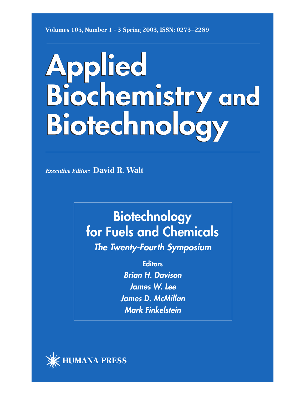**Volumes 105, Number 1 - 3 Spring 2003, ISSN: 0273–2289**

# **Applied Applied Biochemistry and Biochemistry and Biotechnology Biotechnology**

*Executive Editor:* **David R. Walt**

# **Biotechnology for Fuels and Chemicals**

**The Twenty-Fourth Symposium**

**Editors**

**Brian H. Davison James W. Lee James D. McMillan Mark Finkelstein**

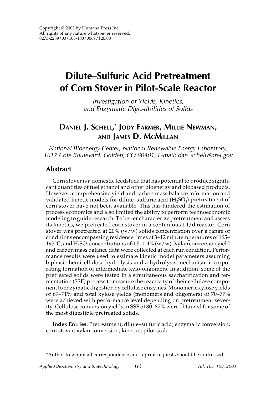# **Dilute–Sulfuric Acid Pretreatment of Corn Stover in Pilot-Scale Reactor**

Investigation of Yields, Kinetics, and Enzymatic Digestibilities of Solids

### **DANIEL J. SCHELL, \* JODY FARMER, MILLIE NEWMAN, AND JAMES D. MCMILLAN**

National Bioenergy Center, National Renewable Energy Laboratory, 1617 Cole Boulevard, Golden, CO 80401, E-mail: dan\_schell@nrel.gov

#### **Abstract**

Corn stover is a domestic feedstock that has potential to produce significant quantities of fuel ethanol and other bioenergy and biobased products. However, comprehensive yield and carbon mass balance information and validated kinetic models for dilute–sulfuric acid  $(H_2SO_4)$  pretreatment of corn stover have not been available. This has hindered the estimation of process economics and also limited the ability to perform technoeconomic modeling to guide research. To better characterize pretreatment and assess its kinetics, we pretreated corn stover in a continuous 1 t/d reactor. Corn stover was pretreated at 20% (w/w) solids concentration over a range of conditions encompassing residence times of 3–12 min, temperatures of 165– 195°C, and  $H_2SO_4$  concentrations of 0.5–1.4% (w/w). Xylan conversion yield and carbon mass balance data were collected at each run condition. Performance results were used to estimate kinetic model parameters assuming biphasic hemicellulose hydrolysis and a hydrolysis mechanism incorporating formation of intermediate xylo-oligomers. In addition, some of the pretreated solids were tested in a simultaneous saccharification and fermentation (SSF) process to measure the reactivity of their cellulose component to enzymatic digestion by cellulase enzymes. Monomeric xylose yields of 69–71% and total xylose yields (monomers and oligomers) of 70–77% were achieved with performance level depending on pretreatment severity. Cellulose conversion yields in SSF of 80–87% were obtained for some of the most digestible pretreated solids.

**Index Entries:** Pretreatment; dilute–sulfuric acid; enzymatic conversion; corn stover; xylan conversion; kinetics; pilot scale.

\*Author to whom all correspondence and reprint requests should be addressed.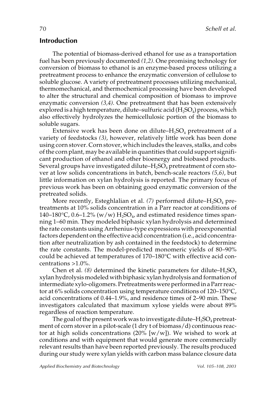#### **Introduction**

The potential of biomass-derived ethanol for use as a transportation fuel has been previously documented *(1,2)*. One promising technology for conversion of biomass to ethanol is an enzyme-based process utilizing a pretreatment process to enhance the enzymatic conversion of cellulose to soluble glucose. A variety of pretreatment processes utilizing mechanical, thermomechanical, and thermochemical processing have been developed to alter the structural and chemical composition of biomass to improve enzymatic conversion *(3,4)*. One pretreatment that has been extensively explored is a high temperature, dilute–sulfuric acid  $(H_2SO_4)$  process, which also effectively hydrolyzes the hemicellulosic portion of the biomass to soluble sugars.

Extensive work has been done on dilute– $H_2SO_4$  pretreatment of a variety of feedstocks *(3)*, however, relatively little work has been done using corn stover. Corn stover, which includes the leaves, stalks, and cobs of the corn plant, may be available in quantities that could support significant production of ethanol and other bioenergy and biobased products. Several groups have investigated dilute– $H_2SO_4$  pretreatment of corn stover at low solids concentrations in batch, bench-scale reactors *(5,6)*, but little information on xylan hydrolysis is reported. The primary focus of previous work has been on obtaining good enzymatic conversion of the pretreated solids.

More recently, Esteghlalian et al. (7) performed dilute–H<sub>2</sub>SO<sub>4</sub> pretreatments at 10% solids concentration in a Parr reactor at conditions of 140–180 $\degree$ C, 0.6–1.2% (w/w) H<sub>2</sub>SO<sub>4</sub>, and estimated residence times spanning 1–60 min. They modeled biphasic xylan hydrolysis and determined the rate constants using Arrhenius-type expressions with preexponential factors dependent on the effective acid concentration (i.e., acid concentration after neutralization by ash contained in the feedstock) to determine the rate constants. The model-predicted monomeric yields of 80–90% could be achieved at temperatures of 170–180°C with effective acid concentrations >1.0%.

Chen et al. *(8)* determined the kinetic parameters for dilute– $H_2SO_4$ xylan hydrolysis modeled with biphasic xylan hydrolysis and formation of intermediate xylo-oligomers. Pretreatments were performed in a Parr reactor at 6% solids concentration using temperature conditions of 120–150°C, acid concentrations of 0.44–1.9%, and residence times of 2–90 min. These investigators calculated that maximum xylose yields were about 89% regardless of reaction temperature.

The goal of the present work was to investigate dilute– $H_2SO_4$  pretreatment of corn stover in a pilot-scale (1 dry t of biomass/d) continuous reactor at high solids concentrations  $(20\% \, \text{[w/w]}).$  We wished to work at conditions and with equipment that would generate more commercially relevant results than have been reported previously. The results produced during our study were xylan yields with carbon mass balance closure data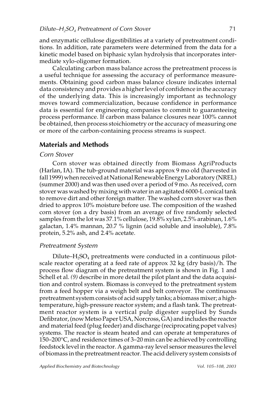and enzymatic cellulose digestibilities at a variety of pretreatment conditions. In addition, rate parameters were determined from the data for a kinetic model based on biphasic xylan hydrolysis that incorporates intermediate xylo-oligomer formation.

Calculating carbon mass balance across the pretreatment process is a useful technique for assessing the accuracy of performance measurements. Obtaining good carbon mass balance closure indicates internal data consistency and provides a higher level of confidence in the accuracy of the underlying data. This is increasingly important as technology moves toward commercialization, because confidence in performance data is essential for engineering companies to commit to guaranteeing process performance. If carbon mass balance closures near 100% cannot be obtained, then process stoichiometry or the accuracy of measuring one or more of the carbon-containing process streams is suspect.

#### **Materials and Methods**

#### Corn Stover

Corn stover was obtained directly from Biomass AgriProducts (Harlan, IA). The tub-ground material was approx 9 mo old (harvested in fall 1999) when received at National Renewable Energy Laboratory (NREL) (summer 2000) and was then used over a period of 9 mo. As received, corn stover was washed by mixing with water in an agitated 6000-L conical tank to remove dirt and other foreign matter. The washed corn stover was then dried to approx 10% moisture before use. The composition of the washed corn stover (on a dry basis) from an average of five randomly selected samples from the lot was 37.1% cellulose, 19.8% xylan, 2.5% arabinan, 1.6% galactan, 1.4% mannan, 20.7 % lignin (acid soluble and insoluble), 7.8% protein, 5.2% ash, and 2.4% acetate.

#### Pretreatment System

Dilute– $H_2SO_4$  pretreatments were conducted in a continuous pilotscale reactor operating at a feed rate of approx 32 kg (dry basis)/h. The process flow diagram of the pretreatment system is shown in Fig. 1 and Schell et al. *(9)* describe in more detail the pilot plant and the data acquisition and control system. Biomass is conveyed to the pretreatment system from a feed hopper via a weigh belt and belt conveyor. The continuous pretreatment system consists of acid supply tanks; a biomass mixer; a hightemperature, high-pressure reactor system; and a flash tank. The pretreatment reactor system is a vertical pulp digester supplied by Sunds Defibrator, (now Metso Paper USA, Norcross, GA) and includes the reactor and material feed (plug feeder) and discharge (reciprocating popet valves) systems. The reactor is steam heated and can operate at temperatures of 150–200°C, and residence times of 3–20 min can be achieved by controlling feedstock level in the reactor. A gamma-ray level sensor measures the level of biomass in the pretreatment reactor. The acid delivery system consists of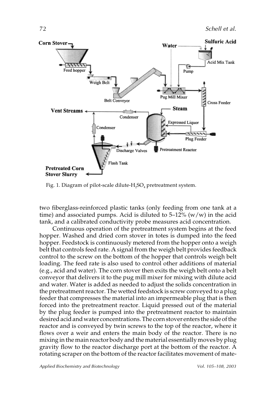

Fig. 1. Diagram of pilot-scale dilute- $H_2SO_4$  pretreatment system.

two fiberglass-reinforced plastic tanks (only feeding from one tank at a time) and associated pumps. Acid is diluted to  $5-12\%$  (w/w) in the acid tank, and a calibrated conductivity probe measures acid concentration.

Continuous operation of the pretreatment system begins at the feed hopper. Washed and dried corn stover in totes is dumped into the feed hopper. Feedstock is continuously metered from the hopper onto a weigh belt that controls feed rate. A signal from the weigh belt provides feedback control to the screw on the bottom of the hopper that controls weigh belt loading. The feed rate is also used to control other additions of material (e.g., acid and water). The corn stover then exits the weigh belt onto a belt conveyor that delivers it to the pug mill mixer for mixing with dilute acid and water. Water is added as needed to adjust the solids concentration in the pretreatment reactor. The wetted feedstock is screw conveyed to a plug feeder that compresses the material into an impermeable plug that is then forced into the pretreatment reactor. Liquid pressed out of the material by the plug feeder is pumped into the pretreatment reactor to maintain desired acid and water concentrations. The corn stover enters the side of the reactor and is conveyed by twin screws to the top of the reactor, where it flows over a weir and enters the main body of the reactor. There is no mixing in the main reactor body and the material essentially moves by plug gravity flow to the reactor discharge port at the bottom of the reactor. A rotating scraper on the bottom of the reactor facilitates movement of mate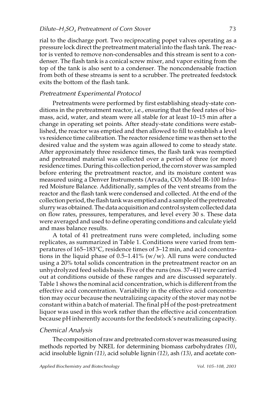rial to the discharge port. Two reciprocating popet valves operating as a pressure lock direct the pretreatment material into the flash tank. The reactor is vented to remove non-condensables and this stream is sent to a condenser. The flash tank is a conical screw mixer, and vapor exiting from the top of the tank is also sent to a condenser. The noncondensable fraction from both of these streams is sent to a scrubber. The pretreated feedstock exits the bottom of the flash tank.

#### Pretreatment Experimental Protocol

Pretreatments were performed by first establishing steady-state conditions in the pretreatment reactor, i.e., ensuring that the feed rates of biomass, acid, water, and steam were all stable for at least 10–15 min after a change in operating set points. After steady-state conditions were established, the reactor was emptied and then allowed to fill to establish a level vs residence time calibration. The reactor residence time was then set to the desired value and the system was again allowed to come to steady state. After approximately three residence times, the flash tank was reemptied and pretreated material was collected over a period of three (or more) residence times. During this collection period, the corn stover was sampled before entering the pretreatment reactor, and its moisture content was measured using a Denver Instruments (Arvada, CO) Model IR-100 Infrared Moisture Balance. Additionally, samples of the vent streams from the reactor and the flash tank were condensed and collected. At the end of the collection period, the flash tank was emptied and a sample of the pretreated slurry was obtained. The data acquisition and control system collected data on flow rates, pressures, temperatures, and level every 30 s. These data were averaged and used to define operating conditions and calculate yield and mass balance results.

A total of 41 pretreatment runs were completed, including some replicates, as summarized in Table 1. Conditions were varied from temperatures of 165–183°C, residence times of 3–12 min, and acid concentrations in the liquid phase of  $0.5-1.41\%$  (w/w). All runs were conducted using a 20% total solids concentration in the pretreatment reactor on an unhydrolyzed feed solids basis. Five of the runs (nos. 37–41) were carried out at conditions outside of these ranges and are discussed separately. Table 1 shows the nominal acid concentration, which is different from the effective acid concentration. Variability in the effective acid concentration may occur because the neutralizing capacity of the stover may not be constant within a batch of material. The final pH of the post-pretreatment liquor was used in this work rather than the effective acid concentration because pH inherently accounts for the feedstock's neutralizing capacity.

#### Chemical Analysis

The composition of raw and pretreated corn stover was measured using methods reported by NREL for determining biomass carbohydrates *(10)*, acid insoluble lignin *(11)*, acid soluble lignin *(12)*, ash *(13)*, and acetate con-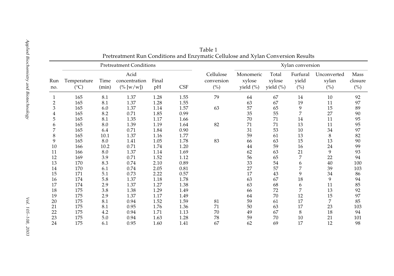| Run<br>no.     |                              |               | <b>Pretreatment Conditions</b>        |             |            |                                | Xylan conversion                 |                                 |                                            |                                               |                                                 |
|----------------|------------------------------|---------------|---------------------------------------|-------------|------------|--------------------------------|----------------------------------|---------------------------------|--------------------------------------------|-----------------------------------------------|-------------------------------------------------|
|                | Temperature<br>$(^{\circ}C)$ | Time<br>(min) | Acid<br>concentration<br>$(\% [w/w])$ | Final<br>pH | <b>CSF</b> | Cellulose<br>conversion<br>(%) | Monomeric<br>xylose<br>yield (%) | Total<br>xylose<br>yield $(\%)$ | Furfural<br>yield<br>$(^{\circ}\!\!/\!_0)$ | Unconverted<br>xylan<br>$(^{\circ}\!\!/\!_0)$ | <b>Mass</b><br>closure<br>$(^{\circ}\!\!/\!_0)$ |
|                | 165                          | 8.1           | 1.37                                  | 1.28        | 1.55       | 79                             | 64                               | 67                              | 14                                         | 10                                            | 92                                              |
| $\overline{c}$ | 165                          | 8.1           | 1.37                                  | 1.28        | 1.55       |                                | 63                               | 67                              | 19                                         | 11                                            | 97                                              |
| 3              | 165                          | 6.0           | 1.37                                  | 1.14        | 1.57       | 63                             | 57                               | 65                              | 9                                          | 15                                            | 89                                              |
| 4              | 165                          | 8.2           | 0.71                                  | 1.85        | 0.99       |                                | 35                               | 55                              |                                            | 27                                            | 90                                              |
| 5              | 165                          | 8.1           | 1.35                                  | 1.17        | 1.66       |                                | 70                               | 71                              | 14                                         | 11                                            | 95                                              |
| 6              | 165                          | 8.0           | 1.39                                  | 1.19        | 1.64       | 82                             | 71                               | 71                              | 13                                         | 11                                            | 95                                              |
| 7              | 165                          | 6.4           | 0.71                                  | 1.84        | 0.90       |                                | 31                               | 53                              | $10\,$                                     | 34                                            | 97                                              |
| 8              | 165                          | $10.1\,$      | 1.37                                  | 1.16        | 1.77       |                                | 59                               | 61                              | 13                                         | 8                                             | 82                                              |
| 9              | 165                          | 8.0           | 1.41                                  | 1.05        | 1.78       | 83                             | 66                               | 63                              | 15                                         | 13                                            | 90                                              |
| 10             | 166                          | 10.2          | 0.71                                  | 1.74        | 1.20       |                                | 44                               | 59                              | 16                                         | 24                                            | 99                                              |
| 11             | 166                          | 8.0           | 1.37                                  | 1.14        | 1.69       |                                | 62                               | 63                              | 21                                         | 9                                             | 93                                              |
| 12             | 169                          | 3.9           | 0.71                                  | 1.52        | 1.12       |                                | 56                               | 65                              | 7                                          | 22                                            | 94                                              |
| 13             | 170                          | 8.3           | 0.74                                  | 2.10        | 0.89       |                                | 33                               | 54                              | 6                                          | 40                                            | 100                                             |
| $14\,$         | 170                          | 6.1           | 0.74                                  | 2.05        | 0.81       |                                | 27                               | 57                              |                                            | 39                                            | 103                                             |
| 15             | 171                          | 5.1           | 0.73                                  | 2.22        | 0.57       |                                | 17                               | 43                              | 9                                          | 34                                            | 86                                              |
| $16\,$         | 174                          | 5.8           | 1.37                                  | 1.18        | 1.78       |                                | 63                               | 67                              | 18                                         | 9                                             | 94                                              |
| 17             | 174                          | 2.9           | 1.37                                  | 1.27        | 1.38       |                                | 63                               | 68                              | 6                                          | 11                                            | 85                                              |
| 18             | 175                          | 3.8           | 1.38                                  | 1.29        | 1.49       |                                | 66                               | 72                              |                                            | 13                                            | 92                                              |
| 19             | 175                          | 2.9           | 1.37                                  | 1.17        | 1.49       |                                | 64                               | 70                              | 12                                         | 15                                            | 97                                              |
| 20             | 175                          | 8.1           | 0.94                                  | 1.52        | 1.59       | 81                             | 59                               | 61                              | 17                                         | $\overline{7}$                                | 85                                              |
| 21             | 175                          | 8.1           | 0.95                                  | 1.76        | 1.36       | 71                             | 50                               | 63                              | 17                                         | 23                                            | 103                                             |
| 22             | 175                          | 4.2           | 0.94                                  | 1.71        | 1.13       | 70                             | 49                               | 67                              | 8                                          | 18                                            | 94                                              |
| 23             | 175                          | $5.0\,$       | 0.94                                  | 1.63        | 1.28       | 78                             | 59                               | 70                              | 10                                         | 21                                            | 101                                             |
| 24             | 175                          | 6.1           | 0.95                                  | 1.60        | 1.41       | 67                             | 62                               | 69                              | 17                                         | 12                                            | 98                                              |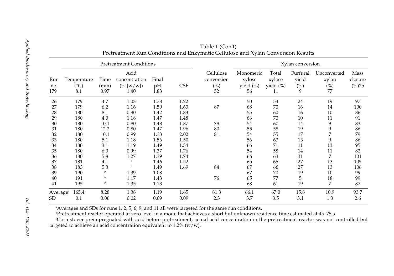|                      |                                     |                       | <b>Pretreatment Conditions</b>                |                     |            |                                                | Xylan conversion                       |                                       |                               |                                   |                             |
|----------------------|-------------------------------------|-----------------------|-----------------------------------------------|---------------------|------------|------------------------------------------------|----------------------------------------|---------------------------------------|-------------------------------|-----------------------------------|-----------------------------|
| Run<br>no.<br>179    | Temperature<br>$(^{\circ}C)$<br>8.1 | Time<br>(min)<br>0.97 | Acid<br>concentration<br>$(\% [w/w])$<br>1.40 | Final<br>pH<br>1.83 | <b>CSF</b> | Cellulose<br>conversion<br>$(^{0}/_{0})$<br>52 | Monomeric<br>xylose<br>yield (%)<br>56 | Total<br>xylose<br>yield $(\%)$<br>11 | Furfural<br>yield<br>(%)<br>9 | Unconverted<br>xylan<br>(%)<br>77 | Mass<br>closure<br>$(\%)25$ |
| 26                   | 179                                 | 4.7                   | 1.03                                          | 1.78                | 1.22       |                                                | 50                                     | 53                                    | 24                            | 19                                | 97                          |
| 27                   | 179                                 | 6.2                   | 1.16                                          | 1.50                | 1.63       | 87                                             | 68                                     | 70                                    | 16                            | 14                                | 100                         |
| 28                   | 180                                 | 8.1                   | $0.80\,$                                      | 1.42                | 1.83       |                                                | 55                                     | 60                                    | 16                            | 10                                | 86                          |
| 29                   | 180                                 | 4.0                   | 1.18                                          | 1.47                | 1.48       |                                                | 66                                     | 70                                    | 10                            | 11                                | 91                          |
| $30\,$               | 180                                 | 10.1                  | $0.80\,$                                      | 1.48                | 1.87       | 78                                             | 54                                     | 60                                    | 14                            | 9                                 | 83                          |
| 31                   | 180                                 | 12.2                  | $0.80\,$                                      | 1.47                | 1.96       | 80                                             | 55                                     | 58                                    | 19                            | 9                                 | 86                          |
| 32                   | 180                                 | 10.1                  | 0.99                                          | 1.33                | 2.02       | 81                                             | 54                                     | 55                                    | 17                            | 7                                 | 79                          |
| 33                   | 180                                 | 5.1                   | 1.18                                          | 1.56                | 1.50       |                                                | 56                                     | 63                                    | 13                            | 9                                 | 86                          |
| 34                   | 180                                 | 3.1                   | 1.19                                          | 1.49                | 1.34       |                                                | 66                                     | 71                                    | 11                            | 13                                | 95                          |
| 35                   | 180                                 | 6.0                   | 0.99                                          | 1.37                | 1.76       |                                                | 54                                     | 58                                    | 14                            | 11                                | 82                          |
| 36                   | 180                                 | 5.8                   | 1.27                                          | 1.39                | 1.74       |                                                | 66                                     | 63                                    | 31                            | 7                                 | 101                         |
| 37                   | 181                                 | 4.1                   | $\mathcal C$                                  | 1.46                | 1.52       |                                                | 65                                     | 65                                    | 27                            | 13                                | 105                         |
| 38                   | 183                                 | 5.3                   | $\mathcal C$                                  | 1.49                | 1.69       | 84                                             | 67                                     | 66                                    | 27                            | 13                                | 106                         |
| 39                   | 190                                 | $\boldsymbol{b}$      | 1.39                                          | 1.08                |            |                                                | 67                                     | 70                                    | 19                            | 10                                | 99                          |
| 40                   | 191                                 | b                     | 1.17                                          | 1.43                |            | 76                                             | 65                                     | 77                                    | 5                             | 18                                | 99                          |
| 41                   | 195                                 | b                     | 1.35                                          | 1.13                |            |                                                | 68                                     | 61                                    | 19                            | 7                                 | 87                          |
| Average <sup>a</sup> | 165.4                               | 8.28                  | 1.38                                          | 1.19                | 1.65       | 81.3                                           | 66.1                                   | 67.0                                  | 15.8                          | 10.9                              | 93.7                        |
| <b>SD</b>            | 0.1                                 | 0.06                  | 0.02                                          | 0.09                | 0.09       | 2.3                                            | 3.7                                    | 3.5                                   | 3.1                           | 1.3                               | 2.6                         |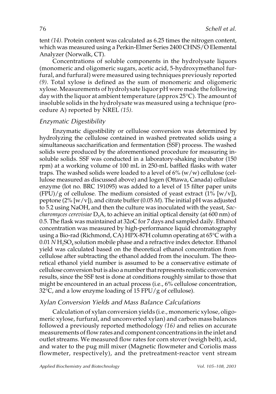tent *(14)*. Protein content was calculated as 6.25 times the nitrogen content, which was measured using a Perkin-Elmer Series 2400 CHNS/O Elemental Analyzer (Norwalk, CT).

Concentrations of soluble components in the hydrolysate liquors (monomeric and oligomeric sugars, acetic acid, 5-hydroxymethanol furfural, and furfural) were measured using techniques previously reported *(9)*. Total xylose is defined as the sum of monomeric and oligomeric xylose. Measurements of hydrolysate liquor pH were made the following day with the liquor at ambient temperature (approx 25°C). The amount of insoluble solids in the hydrolysate was measured using a technique (procedure A) reported by NREL *(15)*.

#### Enzymatic Digestibility

Enzymatic digestibility or cellulose conversion was determined by hydrolyzing the cellulose contained in washed pretreated solids using a simultaneous saccharification and fermentation (SSF) process. The washed solids were produced by the aforementioned procedure for measuring insoluble solids. SSF was conducted in a laboratory-shaking incubator (150 rpm) at a working volume of 100 mL in 250-mL baffled flasks with water traps. The washed solids were loaded to a level of  $6\%$  (w/w) cellulose (cellulose measured as discussed above) and Iogen (Ottawa, Canada) cellulase enzyme (lot no. BRC 191095) was added to a level of 15 filter paper units  $(FPU)/g$  of cellulose. The medium consisted of yeast extract  $(1\%$  [w/v]), peptone (2% [w/v]), and citrate buffer (0.05 *M*). The initial pH was adjusted to 5.2 using NaOH, and then the culture was inoculated with the yeast, *Saccharomyces cerevisiae* D<sub>5</sub>A, to achieve an initial optical density (at 600 nm) of 0.5. The flask was maintained at 32oC for 7 days and sampled daily. Ethanol concentration was measured by high-performance liquid chromatography using a Bio-rad (Richmond, CA) HPX-87H column operating at 65°C with a 0.01 *N* H<sub>2</sub>SO<sub>4</sub> solution mobile phase and a refractive index detector. Ethanol yield was calculated based on the theoretical ethanol concentration from cellulose after subtracting the ethanol added from the inoculum. The theoretical ethanol yield number is assumed to be a conservative estimate of cellulose conversion but is also a number that represents realistic conversion results, since the SSF test is done at conditions roughly similar to those that might be encountered in an actual process (i.e., 6% cellulose concentration,  $32^{\circ}$ C, and a low enzyme loading of 15 FPU/g of cellulose).

#### Xylan Conversion Yields and Mass Balance Calculations

Calculation of xylan conversion yields (i.e., monomeric xylose, oligomeric xylose, furfural, and unconverted xylan) and carbon mass balances followed a previously reported methodology *(16)* and relies on accurate measurements of flow rates and component concentrations in the inlet and outlet streams. We measured flow rates for corn stover (weigh belt), acid, and water to the pug mill mixer (Magnetic flowmeter and Coriolis mass flowmeter, respectively), and the pretreatment-reactor vent stream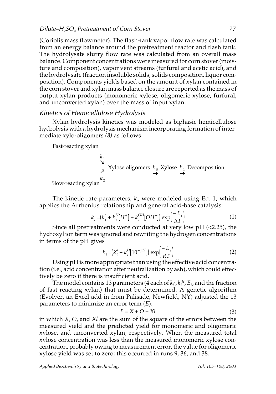(Coriolis mass flowmeter). The flash-tank vapor flow rate was calculated from an energy balance around the pretreatment reactor and flash tank. The hydrolysate slurry flow rate was calculated from an overall mass balance. Component concentrations were measured for corn stover (moisture and composition), vapor vent streams (furfural and acetic acid), and the hydrolysate (fraction insoluble solids, solids composition, liquor composition). Components yields based on the amount of xylan contained in the corn stover and xylan mass balance closure are reported as the mass of output xylan products (monomeric xylose, oligomeric xylose, furfural, and unconverted xylan) over the mass of input xylan.

#### Kinetics of Hemicellulose Hydrolysis

Xylan hydrolysis kinetics was modeled as biphasic hemicellulose hydrolysis with a hydrolysis mechanism incorporating formation of intermediate xylo-oligomers *(8)* as follows:

Fast–reacting xylan

$$
\begin{array}{ccc}\n & k_1 \\
& \searrow \\
& \nearrow \\
& \nearrow\n\end{array}
$$
 Xylose oligomers  $k_3$  Xylose  $k_4$  Decomposition  
ow-reacting xylan

Slow–reacting xylan

The kinetic rate parameters*, k<sub>i</sub>,* were modeled using Eq. 1, which applies the Arrhenius relationship and general acid-base catalysis:

$$
k_{i} = (k_{i}^{o} + k_{i}^{H}[H^{+}] + k_{i}^{OH}[OH^{-}]) \exp\left(\frac{-E_{i}}{RT}\right)
$$
 (1)

Since all pretreatments were conducted at very low pH (<2.25), the hydroxyl ion term was ignored and rewriting the hydrogen concentrations in terms of the pH gives

$$
k_i = (k_i^o + k_i^H[10^{-pH}]) \exp\left(\frac{-E_i}{RT}\right)
$$
 (2)

Using pH is more appropriate than using the effective acid concentration (i.e., acid concentration after neutralization by ash), which could effectively be zero if there is insufficient acid.

The model contains 13 parameters (4 each of  $k_i^{\,\sigma}$ ,  $k_i^{\,H}$ ,  $E_i$  , and the fraction of fast-reacting xylan) that must be determined. A genetic algorithm (Evolver, an Excel add-in from Palisade, Newfield, NY) adjusted the 13 parameters to minimize an error term (*E*):

$$
E = X + O + Xl \tag{3}
$$

in which *X*, *O*, and *Xl* are the sum of the square of the errors between the measured yield and the predicted yield for monomeric and oligomeric xylose, and unconverted xylan, respectively. When the measured total xylose concentration was less than the measured monomeric xylose concentration, probably owing to measurement error, the value for oligomeric xylose yield was set to zero; this occurred in runs 9, 36, and 38.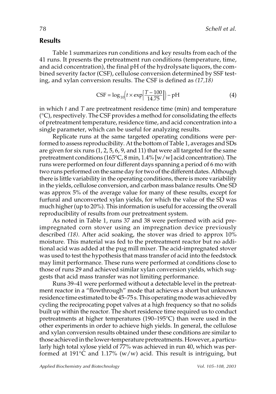#### **Results**

Table 1 summarizes run conditions and key results from each of the 41 runs. It presents the pretreatment run conditions (temperature, time, and acid concentration), the final pH of the hydrolysate liquors, the combined severity factor (CSF), cellulose conversion determined by SSF testing, and xylan conversion results. The CSF is defined as *(17,18)*

$$
CSF = \log_{10}\left(t \times \exp\left[\frac{T - 100}{14.75}\right]\right) - pH \tag{4}
$$

in which *t* and *T* are pretreatment residence time (min) and temperature (°C), respectively. The CSF provides a method for consolidating the effects of pretreatment temperature, residence time, and acid concentration into a single parameter, which can be useful for analyzing results.

Replicate runs at the same targeted operating conditions were performed to assess reproducibility. At the bottom of Table 1, averages and SDs are given for six runs (1, 2, 5, 6, 9, and 11) that were all targeted for the same pretreatment conditions (165°C, 8 min, 1.4% [w/w] acid concentration). The runs were performed on four different days spanning a period of 6 mo with two runs performed on the same day for two of the different dates. Although there is little variability in the operating conditions, there is more variability in the yields, cellulose conversion, and carbon mass balance results. One SD was approx 5% of the average value for many of these results, except for furfural and unconverted xylan yields, for which the value of the SD was much higher (up to 20%). This information is useful for accessing the overall reproducibility of results from our pretreatment system.

As noted in Table 1, runs 37 and 38 were performed with acid preimpregnated corn stover using an impregnation device previously described *(18)*. After acid soaking, the stover was dried to approx 10% moisture. This material was fed to the pretreatment reactor but no additional acid was added at the pug mill mixer. The acid-impregnated stover was used to test the hypothesis that mass transfer of acid into the feedstock may limit performance. These runs were performed at conditions close to those of runs 29 and achieved similar xylan conversion yields, which suggests that acid mass transfer was not limiting performance.

Runs 39–41 were performed without a detectable level in the pretreatment reactor in a "flowthrough" mode that achieves a short but unknown residence time estimated to be 45–75 s. This operating mode was achieved by cycling the reciprocating popet valves at a high frequency so that no solids built up within the reactor. The short residence time required us to conduct pretreatments at higher temperatures (190–195°C) than were used in the other experiments in order to achieve high yields. In general, the cellulose and xylan conversion results obtained under these conditions are similar to those achieved in the lower-temperature pretreatments. However, a particularly high total xylose yield of 77% was achieved in run 40, which was performed at 191 $\degree$ C and 1.17% (w/w) acid. This result is intriguing, but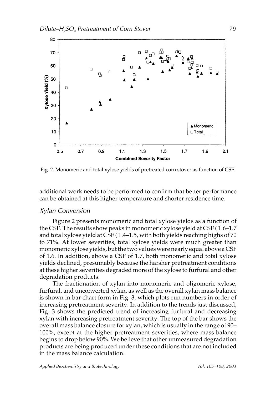

Fig. 2. Monomeric and total xylose yields of pretreated corn stover as function of CSF.

additional work needs to be performed to confirm that better performance can be obtained at this higher temperature and shorter residence time.

#### Xylan Conversion

Figure 2 presents monomeric and total xylose yields as a function of the CSF. The results show peaks in monomeric xylose yield at CSF ( 1.6–1.7 and total xylose yield at CSF ( 1.4–1.5, with both yields reaching highs of 70 to 71%. At lower severities, total xylose yields were much greater than monomeric xylose yields, but the two values were nearly equal above a CSF of 1.6. In addition, above a CSF of 1.7, both monomeric and total xylose yields declined, presumably because the harsher pretreatment conditions at these higher severities degraded more of the xylose to furfural and other degradation products.

The fractionation of xylan into monomeric and oligomeric xylose, furfural, and unconverted xylan, as well as the overall xylan mass balance is shown in bar chart form in Fig. 3, which plots run numbers in order of increasing pretreatment severity. In addition to the trends just discussed, Fig. 3 shows the predicted trend of increasing furfural and decreasing xylan with increasing pretreatment severity. The top of the bar shows the overall mass balance closure for xylan, which is usually in the range of 90– 100%, except at the higher pretreatment severities, where mass balance begins to drop below 90%. We believe that other unmeasured degradation products are being produced under these conditions that are not included in the mass balance calculation.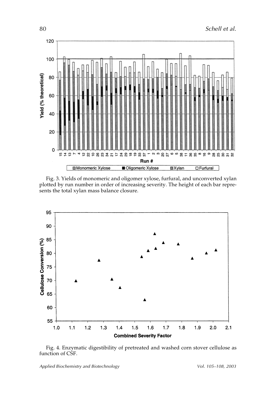

Fig. 3. Yields of monomeric and oligomer xylose, furfural, and unconverted xylan plotted by run number in order of increasing severity. The height of each bar represents the total xylan mass balance closure.



Fig. 4. Enzymatic digestibility of pretreated and washed corn stover cellulose as function of CSF.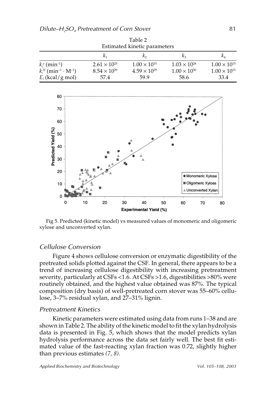| Table 2<br>Estimated kinetic parameters                              |                               |                               |                               |                                  |  |  |  |  |  |
|----------------------------------------------------------------------|-------------------------------|-------------------------------|-------------------------------|----------------------------------|--|--|--|--|--|
|                                                                      | $K_{1}$                       |                               | $\mathcal{K}_2$               | $\kappa_{\scriptscriptstyle{A}}$ |  |  |  |  |  |
| $k_i^o$ (min <sup>-1</sup> )                                         | $2.61 \times 10^{25}$         | $1.00 \times 10^{15}$         | $1.03 \times 10^{28}$         | $1.00 \times 10^{15}$            |  |  |  |  |  |
| $k_i^H$ (min <sup>-1</sup> · M <sup>-1</sup> )<br>$E_i$ (kcal/g mol) | $8.54 \times 10^{29}$<br>57.4 | $4.59 \times 10^{29}$<br>59.9 | $1.00 \times 10^{30}$<br>58.6 | $1.00 \times 10^{15}$<br>33.4    |  |  |  |  |  |



Fig 5. Predicted (kinetic model) vs measured values of monomeric and oligomeric xylose and unconverted xylan.

#### Cellulose Conversion

Figure 4 shows cellulose conversion or enzymatic digestibility of the pretreated solids plotted against the CSF. In general, there appears to be a trend of increasing cellulose digestibility with increasing pretreatment severity, particularly at CSFs <1.6. At CSFs >1.6, digestibilities >80% were routinely obtained, and the highest value obtained was 87%. The typical composition (dry basis) of well-pretreated corn stover was 55–60% cellulose, 3–7% residual xylan, and 27–31% lignin.

#### Pretreatment Kinetics

Kinetic parameters were estimated using data from runs 1–38 and are shown in Table 2. The ability of the kinetic model to fit the xylan hydrolysis data is presented in Fig. 5, which shows that the model predicts xylan hydrolysis performance across the data set fairly well. The best fit estimated value of the fast-reacting xylan fraction was 0.72, slightly higher than previous estimates *(7, 8)*.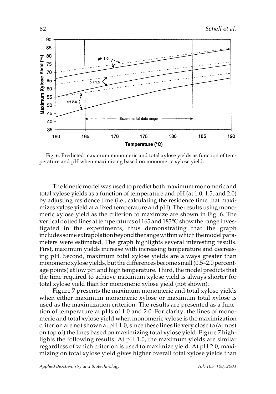

Fig. 6. Predicted maximum monomeric and total xylose yields as function of temperature and pH when maximizing based on monomeric xylose yield.

The kinetic model was used to predict both maximum monomeric and total xylose yields as a function of temperature and pH (at 1.0, 1.5, and 2.0) by adjusting residence time (i.e., calculating the residence time that maximizes xylose yield at a fixed temperature and pH). The results using monomeric xylose yield as the criterion to maximize are shown in Fig. 6. The vertical dotted lines at temperatures of 165 and 183°C show the range investigated in the experiments, thus demonstrating that the graph includes some extrapolation beyond the range within which the model parameters were estimated. The graph highlights several interesting results. First, maximum yields increase with increasing temperature and decreasing pH. Second, maximum total xylose yields are always greater than monomeric xylose yields, but the differences become small (0.5–2.0 percentage points) at low pH and high temperature. Third, the model predicts that the time required to achieve maximum xylose yield is always shorter for total xylose yield than for monomeric xylose yield (not shown).

Figure 7 presents the maximum monomeric and total xylose yields when either maximum monomeric xylose or maximum total xylose is used as the maximization criterion. The results are presented as a function of temperature at pHs of 1.0 and 2.0. For clarity, the lines of monomeric and total xylose yield when monomeric xylose is the maximization criterion are not shown at pH 1.0, since these lines lie very close to (almost on top of) the lines based on maximizing total xylose yield. Figure 7 highlights the following results: At pH 1.0, the maximum yields are similar regardless of which criterion is used to maximize yield. At pH 2.0, maximizing on total xylose yield gives higher overall total xylose yields than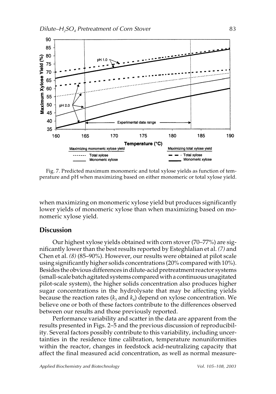

Fig. 7. Predicted maximum monomeric and total xylose yields as function of temperature and pH when maximizing based on either monomeric or total xylose yield.

when maximizing on monomeric xylose yield but produces significantly lower yields of monomeric xylose than when maximizing based on monomeric xylose yield.

#### **Discussion**

Our highest xylose yields obtained with corn stover (70–77%) are significantly lower than the best results reported by Esteghlalian et al. *(7)* and Chen et al. *(8)* (85–90%). However, our results were obtained at pilot scale using significantly higher solids concentrations (20% compared with 10%). Besides the obvious differences in dilute-acid pretreatment reactor systems (small-scale batch agitated systems compared with a continuous unagitated pilot-scale system), the higher solids concentration also produces higher sugar concentrations in the hydrolysate that may be affecting yields because the reaction rates  $(k_3 \text{ and } k_4)$  depend on xylose concentration. We believe one or both of these factors contribute to the differences observed between our results and those previously reported.

Performance variability and scatter in the data are apparent from the results presented in Figs. 2–5 and the previous discussion of reproducibility. Several factors possibly contribute to this variability, including uncertainties in the residence time calibration, temperature nonuniformities within the reactor, changes in feedstock acid-neutralizing capacity that affect the final measured acid concentration, as well as normal measure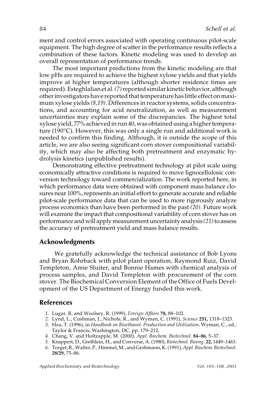ment and control errors associated with operating continuous pilot-scale equipment. The high degree of scatter in the performance results reflects a combination of these factors. Kinetic modeling was used to develop an overall representation of performance trends.

The most important predictions from the kinetic modeling are that low pHs are required to achieve the highest xylose yields and that yields improve at higher temperatures (although shorter residence times are required). Esteghlalian et al. *(7)*reported similar kinetic behavior, although other investigators have reported that temperature has little effect on maximum xylose yields *(8,19)*. Differences in reactor systems, solids concentrations, and accounting for acid neutralization, as well as measurement uncertainties may explain some of the discrepancies. The highest total xylose yield, 77% achieved in run 40, was obtained using a higher temperature (190°C). However, this was only a single run and additional work is needed to confirm this finding. Although, it is outside the scope of this article, we are also seeing significant corn stover compositional variability, which may also be affecting both pretreatment and enzymatic hydrolysis kinetics (unpublished results).

Demonstrating effective pretreatment technology at pilot scale using economically attractive conditions is required to move lignocellulosic conversion technology toward commercialization. The work reported here, in which performance data were obtained with component mass balance closures near 100%, represents an initial effort to generate accurate and reliable pilot-scale performance data that can be used to more rigorously analyze process economics than have been performed in the past *(20)*. Future work will examine the impact that compositional variability of corn stover has on performance and will apply measurement uncertainty analysis *(21)*to assess the accuracy of pretreatment yield and mass balance results.

#### **Acknowledgments**

We gratefully acknowledge the technical assistance of Bob Lyons and Bryan Rohrback with pilot plant operation, Raymond Ruiz, David Templeton, Amie Sluiter, and Bonnie Hames with chemical analysis of process samples, and David Templeton with procurement of the corn stover. The Biochemical Conversion Element of the Office of Fuels Development of the US Department of Energy funded this work.

#### **References**

- *1.* Lugar, R. and Woolsey, R. (1999), *Foreign Affairs* **78,** 88–102.
- *2.* Lynd, L., Cushman, J., Nichols, R., and Wyman, C. (1991), *Science* **251,** 1318–1323.
- *3.* Hsu, T. (1996), in *Handbook on Bioethanol: Production and Utilization,* Wyman, C., ed., Taylor & Francis, Washington, DC, pp. 179–212.
- *4.* Chang, V. and Holtzapple, M. (2000), *Appl. Biochem. Biotechnol.* **84–86,** 5–37.
- *5.* Knappert, D., Grethlein, H., and Converse, A. (1980), *Biotechnol. Bioeng.* **22,** 1449–1463.
- *6.* Torget, R., Walter, P., Himmel, M., and Grohmann, K. (1991), *Appl. Biochem. Biotechnol.* **28/29,** 75–86.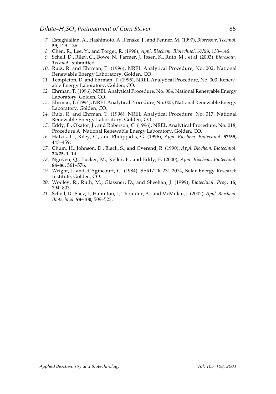- *7.* Esteghlalian, A., Hashimoto, A., Fenske, J., and Penner, M. (1997), *Bioresour. Technol.* **59,** 129–136.
- *8.* Chen, R., Lee, Y., and Torget, R. (1996), *Appl. Biochem. Biotechnol.* **57/58,** 133–146.
- *9.* Schell, D., Riley, C., Dowe, N., Farmer, J., Ibsen, K., Ruth, M., et al. (2003), *Bioresour. Technol.*, submitted.
- *10.* Ruiz, R. and Ehrman, T. (1996), NREL Analytical Procedure, No. 002, National Renewable Energy Laboratory, Golden, CO.
- *11.* Templeton, D. and Ehrman, T. (1995), NREL Analytical Procedure, No. 003, Renewable Energy Laboratory, Golden, CO.
- *12.* Ehrman, T. (1996), NREL Analytical Procedure, No. 004, National Renewable Energy Laboratory, Golden, CO.
- *13.* Ehrman, T. (1994), NREL Analytical Procedure, No. 005, National Renewable Energy Laboratory, Golden, CO.
- *14.* Ruiz, R. and Ehrman, T. (1996), NREL Analytical Procedure, No. 017, National Renewable Energy Laboratory, Golden, CO.
- *15.* Eddy, F., Okafor, J., and Roberson, C. (1996), NREL Analytical Procedure, No. 018, Procedure A, National Renewable Energy Laboratory, Golden, CO.
- *16.* Hatzis, C., Riley, C., and Philippidis, G. (1996), *Appl. Biochem. Biotechnol.* **57/58,** 443–459.
- *17.* Chum, H., Johnson, D., Black, S., and Overend, R. (1990), *Appl. Biochem. Biotechnol.* **24/25,** 1–14.
- *18.* Nguyen, Q., Tucker, M., Keller, F., and Eddy, F. (2000), *Appl. Biochem. Biotechnol.* **84–86,** 561–576.
- *19.* Wright, J. and d'Agincourt, C. (1984), SERI/TR-231-2074, Solar Energy Research Institute, Golden, CO.
- *20.* Wooley, R., Ruth, M., Glassner, D., and Sheehan, J. (1999), *Biotechnol. Prog.* **15,** 794–803.
- *21.* Schell, D., Saez, J., Hamilton, J., Tholudur, A., and McMillan, J. (2002), *Appl. Biochem. Biotechnol.* **98–100,** 509–523.